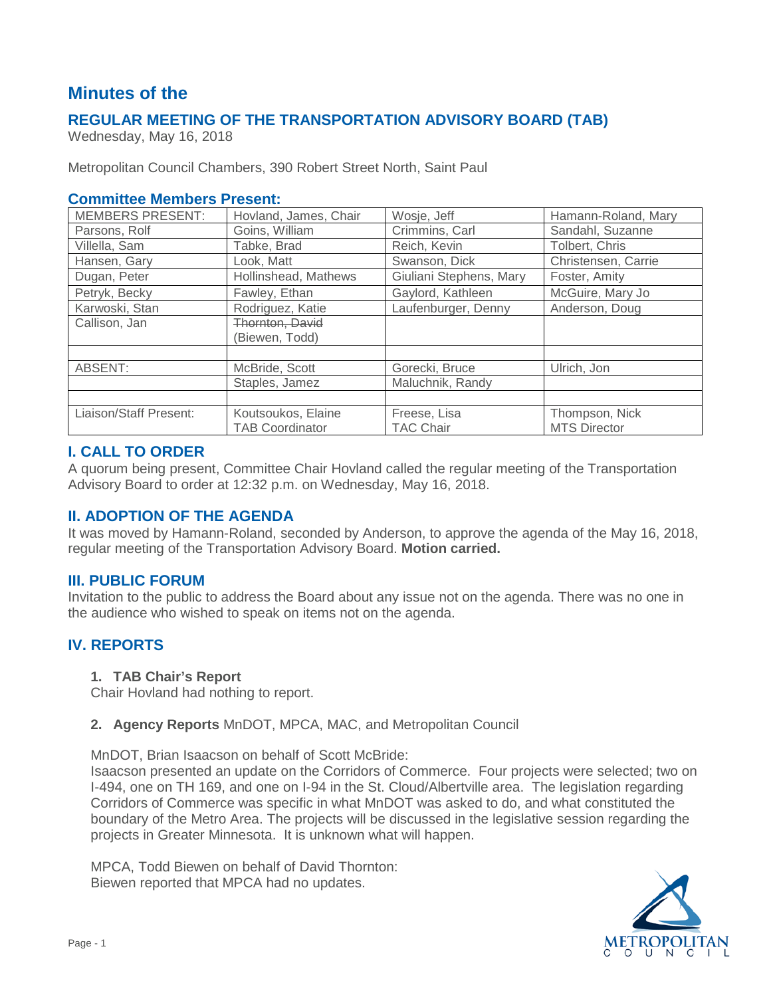# **Minutes of the**

# **REGULAR MEETING OF THE TRANSPORTATION ADVISORY BOARD (TAB)**

Wednesday, May 16, 2018

Metropolitan Council Chambers, 390 Robert Street North, Saint Paul

#### **Committee Members Present:**

| <b>MEMBERS PRESENT:</b> | Hovland, James, Chair  | Wosje, Jeff             | Hamann-Roland, Mary |
|-------------------------|------------------------|-------------------------|---------------------|
| Parsons, Rolf           | Goins, William         | Crimmins, Carl          | Sandahl, Suzanne    |
| Villella, Sam           | Tabke, Brad            | Reich, Kevin            | Tolbert, Chris      |
| Hansen, Gary            | Look, Matt             | Swanson, Dick           | Christensen, Carrie |
| Dugan, Peter            | Hollinshead, Mathews   | Giuliani Stephens, Mary | Foster, Amity       |
| Petryk, Becky           | Fawley, Ethan          | Gaylord, Kathleen       | McGuire, Mary Jo    |
| Karwoski, Stan          | Rodriguez, Katie       | Laufenburger, Denny     | Anderson, Doug      |
| Callison, Jan           | Thornton, David        |                         |                     |
|                         | (Biewen, Todd)         |                         |                     |
|                         |                        |                         |                     |
| ABSENT:                 | McBride, Scott         | Gorecki, Bruce          | Ulrich, Jon         |
|                         | Staples, Jamez         | Maluchnik, Randy        |                     |
|                         |                        |                         |                     |
| Liaison/Staff Present:  | Koutsoukos, Elaine     | Freese, Lisa            | Thompson, Nick      |
|                         | <b>TAB Coordinator</b> | TAC Chair               | <b>MTS Director</b> |

### **I. CALL TO ORDER**

A quorum being present, Committee Chair Hovland called the regular meeting of the Transportation Advisory Board to order at 12:32 p.m. on Wednesday, May 16, 2018.

# **II. ADOPTION OF THE AGENDA**

It was moved by Hamann-Roland, seconded by Anderson, to approve the agenda of the May 16, 2018, regular meeting of the Transportation Advisory Board. **Motion carried.**

#### **III. PUBLIC FORUM**

Invitation to the public to address the Board about any issue not on the agenda. There was no one in the audience who wished to speak on items not on the agenda.

# **IV. REPORTS**

#### **1. TAB Chair's Report**

Chair Hovland had nothing to report.

#### **2. Agency Reports** MnDOT, MPCA, MAC, and Metropolitan Council

MnDOT, Brian Isaacson on behalf of Scott McBride:

Isaacson presented an update on the Corridors of Commerce. Four projects were selected; two on I-494, one on TH 169, and one on I-94 in the St. Cloud/Albertville area. The legislation regarding Corridors of Commerce was specific in what MnDOT was asked to do, and what constituted the boundary of the Metro Area. The projects will be discussed in the legislative session regarding the projects in Greater Minnesota. It is unknown what will happen.

MPCA, Todd Biewen on behalf of David Thornton: Biewen reported that MPCA had no updates.

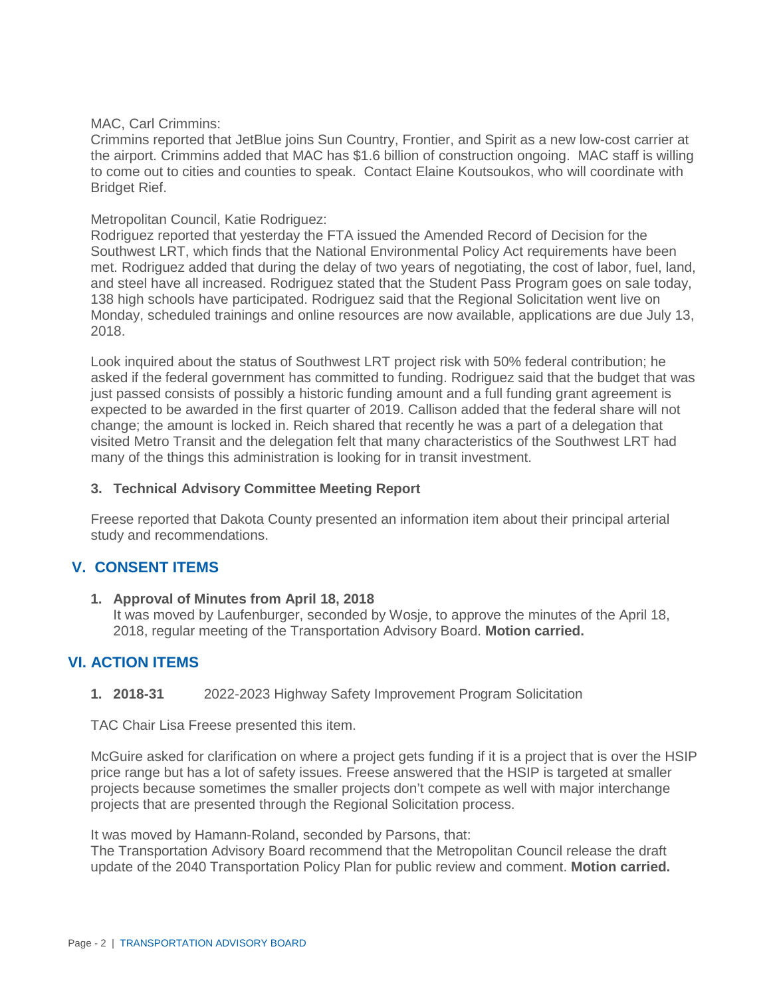#### MAC, Carl Crimmins:

Crimmins reported that JetBlue joins Sun Country, Frontier, and Spirit as a new low-cost carrier at the airport. Crimmins added that MAC has \$1.6 billion of construction ongoing. MAC staff is willing to come out to cities and counties to speak. Contact Elaine Koutsoukos, who will coordinate with Bridget Rief.

#### Metropolitan Council, Katie Rodriguez:

Rodriguez reported that yesterday the FTA issued the Amended Record of Decision for the Southwest LRT, which finds that the National Environmental Policy Act requirements have been met. Rodriguez added that during the delay of two years of negotiating, the cost of labor, fuel, land, and steel have all increased. Rodriguez stated that the Student Pass Program goes on sale today, 138 high schools have participated. Rodriguez said that the Regional Solicitation went live on Monday, scheduled trainings and online resources are now available, applications are due July 13, 2018.

Look inquired about the status of Southwest LRT project risk with 50% federal contribution; he asked if the federal government has committed to funding. Rodriguez said that the budget that was just passed consists of possibly a historic funding amount and a full funding grant agreement is expected to be awarded in the first quarter of 2019. Callison added that the federal share will not change; the amount is locked in. Reich shared that recently he was a part of a delegation that visited Metro Transit and the delegation felt that many characteristics of the Southwest LRT had many of the things this administration is looking for in transit investment.

#### **3. Technical Advisory Committee Meeting Report**

Freese reported that Dakota County presented an information item about their principal arterial study and recommendations.

# **V. CONSENT ITEMS**

**1. Approval of Minutes from April 18, 2018** It was moved by Laufenburger, seconded by Wosje, to approve the minutes of the April 18, 2018, regular meeting of the Transportation Advisory Board. **Motion carried.**

# **VI. ACTION ITEMS**

**1. 2018-31** 2022-2023 Highway Safety Improvement Program Solicitation

TAC Chair Lisa Freese presented this item.

McGuire asked for clarification on where a project gets funding if it is a project that is over the HSIP price range but has a lot of safety issues. Freese answered that the HSIP is targeted at smaller projects because sometimes the smaller projects don't compete as well with major interchange projects that are presented through the Regional Solicitation process.

It was moved by Hamann-Roland, seconded by Parsons, that:

The Transportation Advisory Board recommend that the Metropolitan Council release the draft update of the 2040 Transportation Policy Plan for public review and comment. **Motion carried.**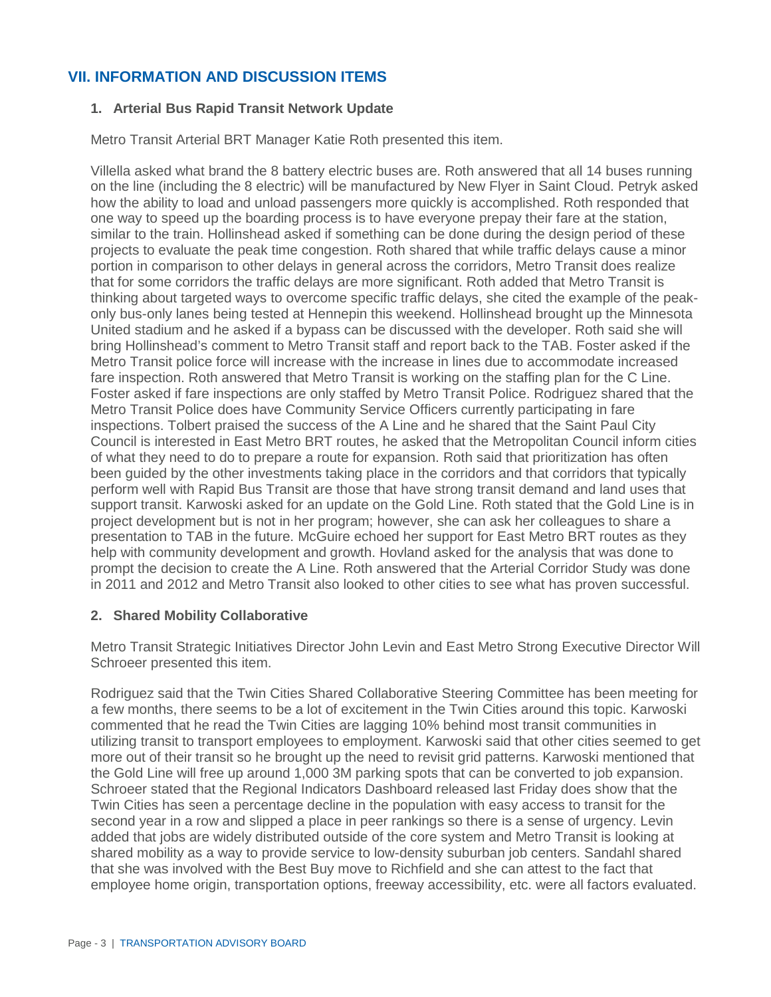# **VII. INFORMATION AND DISCUSSION ITEMS**

#### **1. Arterial Bus Rapid Transit Network Update**

Metro Transit Arterial BRT Manager Katie Roth presented this item.

Villella asked what brand the 8 battery electric buses are. Roth answered that all 14 buses running on the line (including the 8 electric) will be manufactured by New Flyer in Saint Cloud. Petryk asked how the ability to load and unload passengers more quickly is accomplished. Roth responded that one way to speed up the boarding process is to have everyone prepay their fare at the station, similar to the train. Hollinshead asked if something can be done during the design period of these projects to evaluate the peak time congestion. Roth shared that while traffic delays cause a minor portion in comparison to other delays in general across the corridors, Metro Transit does realize that for some corridors the traffic delays are more significant. Roth added that Metro Transit is thinking about targeted ways to overcome specific traffic delays, she cited the example of the peakonly bus-only lanes being tested at Hennepin this weekend. Hollinshead brought up the Minnesota United stadium and he asked if a bypass can be discussed with the developer. Roth said she will bring Hollinshead's comment to Metro Transit staff and report back to the TAB. Foster asked if the Metro Transit police force will increase with the increase in lines due to accommodate increased fare inspection. Roth answered that Metro Transit is working on the staffing plan for the C Line. Foster asked if fare inspections are only staffed by Metro Transit Police. Rodriguez shared that the Metro Transit Police does have Community Service Officers currently participating in fare inspections. Tolbert praised the success of the A Line and he shared that the Saint Paul City Council is interested in East Metro BRT routes, he asked that the Metropolitan Council inform cities of what they need to do to prepare a route for expansion. Roth said that prioritization has often been guided by the other investments taking place in the corridors and that corridors that typically perform well with Rapid Bus Transit are those that have strong transit demand and land uses that support transit. Karwoski asked for an update on the Gold Line. Roth stated that the Gold Line is in project development but is not in her program; however, she can ask her colleagues to share a presentation to TAB in the future. McGuire echoed her support for East Metro BRT routes as they help with community development and growth. Hovland asked for the analysis that was done to prompt the decision to create the A Line. Roth answered that the Arterial Corridor Study was done in 2011 and 2012 and Metro Transit also looked to other cities to see what has proven successful.

#### **2. Shared Mobility Collaborative**

Metro Transit Strategic Initiatives Director John Levin and East Metro Strong Executive Director Will Schroeer presented this item.

Rodriguez said that the Twin Cities Shared Collaborative Steering Committee has been meeting for a few months, there seems to be a lot of excitement in the Twin Cities around this topic. Karwoski commented that he read the Twin Cities are lagging 10% behind most transit communities in utilizing transit to transport employees to employment. Karwoski said that other cities seemed to get more out of their transit so he brought up the need to revisit grid patterns. Karwoski mentioned that the Gold Line will free up around 1,000 3M parking spots that can be converted to job expansion. Schroeer stated that the Regional Indicators Dashboard released last Friday does show that the Twin Cities has seen a percentage decline in the population with easy access to transit for the second year in a row and slipped a place in peer rankings so there is a sense of urgency. Levin added that jobs are widely distributed outside of the core system and Metro Transit is looking at shared mobility as a way to provide service to low-density suburban job centers. Sandahl shared that she was involved with the Best Buy move to Richfield and she can attest to the fact that employee home origin, transportation options, freeway accessibility, etc. were all factors evaluated.